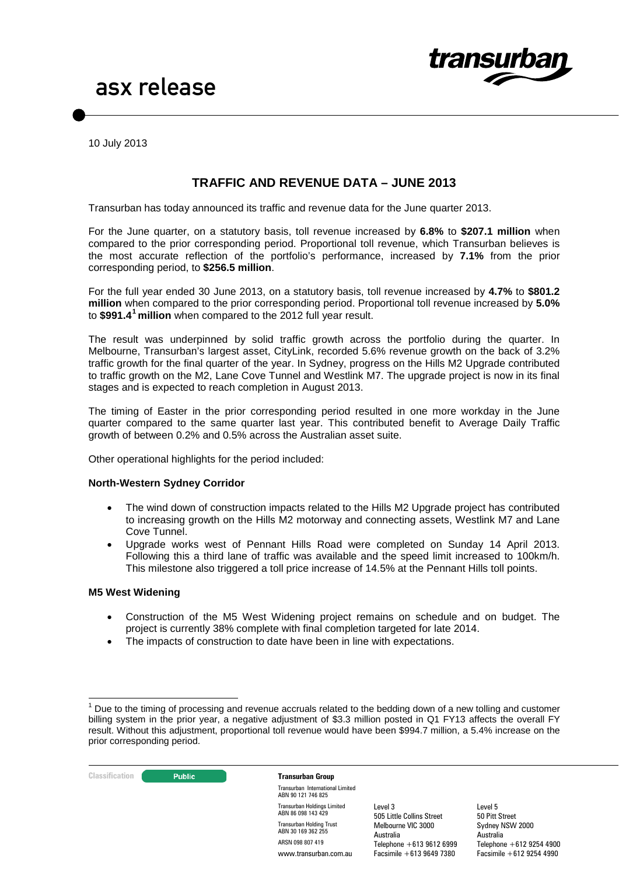

10 July 2013

### **TRAFFIC AND REVENUE DATA – JUNE 2013**

Transurban has today announced its traffic and revenue data for the June quarter 2013.

For the June quarter, on a statutory basis, toll revenue increased by **6.8%** to **\$207.1 million** when compared to the prior corresponding period. Proportional toll revenue, which Transurban believes is the most accurate reflection of the portfolio's performance, increased by **7.1%** from the prior corresponding period, to **\$256.5 million**.

For the full year ended 30 June 2013, on a statutory basis, toll revenue increased by **4.7%** to **\$801.2 million** when compared to the prior corresponding period. Proportional toll revenue increased by **5.0%**  to **\$991.4[1](#page-0-0) million** when compared to the 2012 full year result.

The result was underpinned by solid traffic growth across the portfolio during the quarter. In Melbourne, Transurban's largest asset, CityLink, recorded 5.6% revenue growth on the back of 3.2% traffic growth for the final quarter of the year. In Sydney, progress on the Hills M2 Upgrade contributed to traffic growth on the M2, Lane Cove Tunnel and Westlink M7. The upgrade project is now in its final stages and is expected to reach completion in August 2013.

The timing of Easter in the prior corresponding period resulted in one more workday in the June quarter compared to the same quarter last year. This contributed benefit to Average Daily Traffic growth of between 0.2% and 0.5% across the Australian asset suite.

Other operational highlights for the period included:

#### **North-Western Sydney Corridor**

- The wind down of construction impacts related to the Hills M2 Upgrade project has contributed to increasing growth on the Hills M2 motorway and connecting assets, Westlink M7 and Lane Cove Tunnel.
- Upgrade works west of Pennant Hills Road were completed on Sunday 14 April 2013. Following this a third lane of traffic was available and the speed limit increased to 100km/h. This milestone also triggered a toll price increase of 14.5% at the Pennant Hills toll points.

#### **M5 West Widening**

- Construction of the M5 West Widening project remains on schedule and on budget. The project is currently 38% complete with final completion targeted for late 2014.
- The impacts of construction to date have been in line with expectations.

<span id="page-0-1"></span><span id="page-0-0"></span> $1$  Due to the timing of processing and revenue accruals related to the bedding down of a new tolling and customer billing system in the prior year, a negative adjustment of \$3.3 million posted in Q1 FY13 affects the overall FY result. Without this adjustment, proportional toll revenue would have been \$994.7 million, a 5.4% increase on the prior corresponding period.



Transurban International Limited ABN 90 121 746 825 Transurban Holdings Limited ABN 86 098 143 429 Transurban Holding Trust ABN 30 169 362 255 ARSN 098 807 419 www.transurban.com.au

Level 3 505 Little Collins Street Melbourne VIC 3000 Australia Telephone +613 9612 6999 Facsimile +613 9649 7380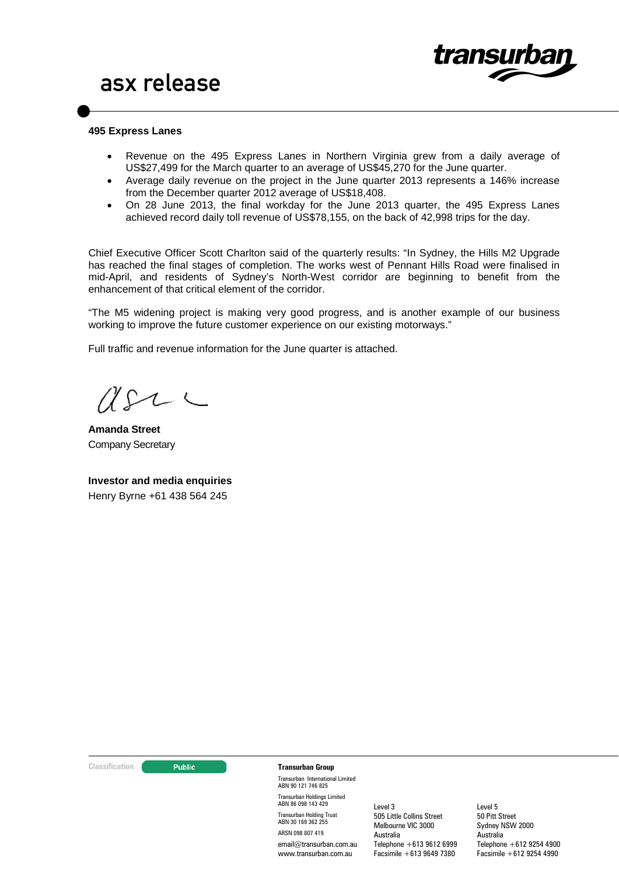

#### **495 Express Lanes**

- Revenue on the 495 Express Lanes in Northern Virginia grew from a daily average of US\$27,499 for the March quarter to an average of US\$45,270 for the June quarter.
- Average daily revenue on the project in the June quarter 2013 represents a 146% increase from the December quarter 2012 average of US\$18,408.
- On 28 June 2013, the final workday for the June 2013 quarter, the 495 Express Lanes achieved record daily toll revenue of US\$78,155, on the back of 42,998 trips for the day.

Chief Executive Officer Scott Charlton said of the quarterly results: "In Sydney, the Hills M2 Upgrade has reached the final stages of completion. The works west of Pennant Hills Road were finalised in mid-April, and residents of Sydney's North-West corridor are beginning to benefit from the enhancement of that critical element of the corridor.

"The M5 widening project is making very good progress, and is another example of our business working to improve the future customer experience on our existing motorways."

Full traffic and revenue information for the June quarter is attached.

 $\Lambda$ Sa

**Amanda Street** Company Secretary

**Investor and media enquiries** Henry Byrne +61 438 564 245

#### **Classification Construction Transurban Group**

Transurban International Limited ABN 90 121 746 825 Transurban Holdings Limited ABN 86 098 143 429 Transurban Holding Trust ABN 30 169 362 255 ARSN 098 807 419 email@transurban.com.au www.transurban.com.au

Level 3 505 Little Collins Street Melbourne VIC 3000 Australia Telephone +613 9612 6999 Facsimile +613 9649 7380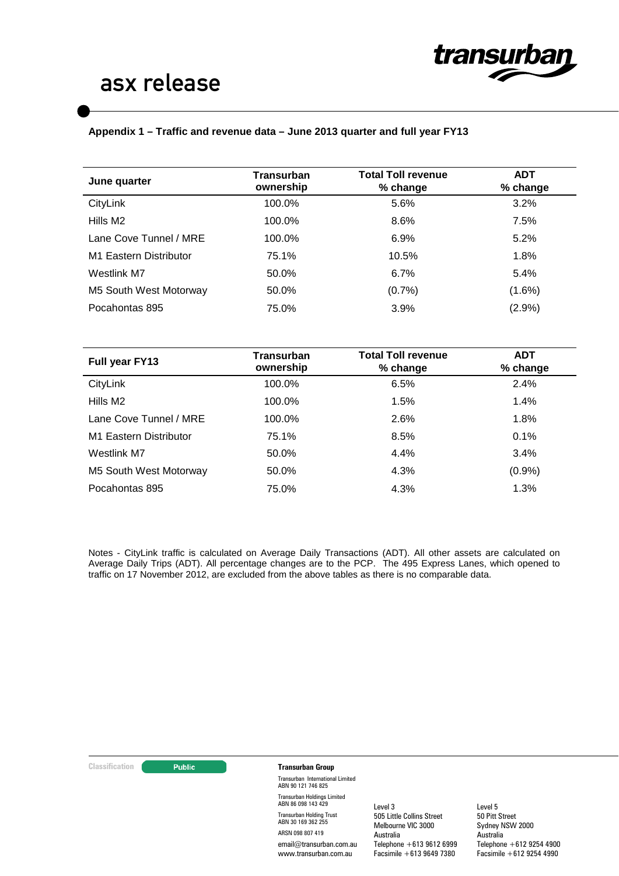

### **Appendix 1 – Traffic and revenue data – June 2013 quarter and full year FY13**

| <b>Transurban</b> | <b>Total Toll revenue</b> | <b>ADT</b><br>% change |  |
|-------------------|---------------------------|------------------------|--|
| 100.0%            | 5.6%                      | 3.2%                   |  |
| 100.0%            | 8.6%                      | 7.5%                   |  |
| 100.0%            | 6.9%                      | 5.2%                   |  |
| 75.1%             | 10.5%                     | 1.8%                   |  |
| 50.0%             | 6.7%                      | 5.4%                   |  |
| 50.0%             | (0.7%                     | $(1.6\%)$              |  |
| 75.0%             | 3.9%                      | (2.9%)                 |  |
|                   | ownership                 | % change               |  |

| Full year FY13         | Transurban<br>ownership | <b>Total Toll revenue</b><br>% change | <b>ADT</b><br>% change |
|------------------------|-------------------------|---------------------------------------|------------------------|
| CityLink               | 100.0%                  | 6.5%                                  | 2.4%                   |
| Hills M <sub>2</sub>   | 100.0%                  | 1.5%                                  | 1.4%                   |
| Lane Cove Tunnel / MRE | 100.0%                  | 2.6%                                  | 1.8%                   |
| M1 Eastern Distributor | 75.1%                   | 8.5%                                  | 0.1%                   |
| Westlink M7            | 50.0%                   | 4.4%                                  | 3.4%                   |
| M5 South West Motorway | 50.0%                   | 4.3%                                  | (0.9%                  |
| Pocahontas 895         | 75.0%                   | 4.3%                                  | 1.3%                   |

Notes - CityLink traffic is calculated on Average Daily Transactions (ADT). All other assets are calculated on Average Daily Trips (ADT). All percentage changes are to the PCP. The 495 Express Lanes, which opened to traffic on 17 November 2012, are excluded from the above tables as there is no comparable data.

#### **Classification Transurban Group**

Transurban International Limited ABN 90 121 746 825 Transurban Holdings Limited ABN 86 098 143 429 Transurban Holding Trust ABN 30 169 362 255 ARSN 098 807 419 email@transurban.com.au www.transurban.com.au

Level 3 505 Little Collins Street Melbourne VIC 3000 Australia Telephone +613 9612 6999 Facsimile +613 9649 7380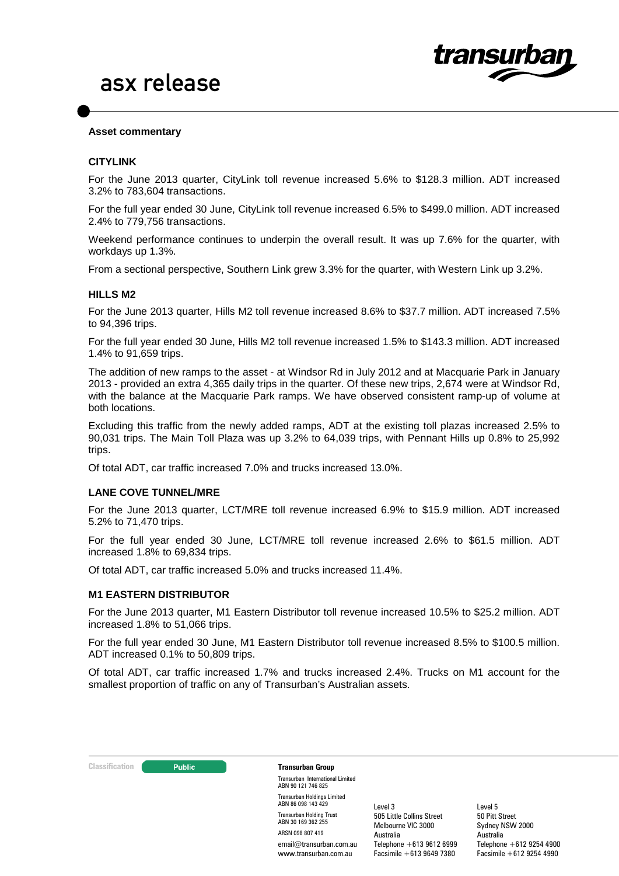

#### **Asset commentary**

#### **CITYLINK**

For the June 2013 quarter, CityLink toll revenue increased 5.6% to \$128.3 million. ADT increased 3.2% to 783,604 transactions.

For the full year ended 30 June, CityLink toll revenue increased 6.5% to \$499.0 million. ADT increased 2.4% to 779,756 transactions.

Weekend performance continues to underpin the overall result. It was up 7.6% for the quarter, with workdays up 1.3%.

From a sectional perspective, Southern Link grew 3.3% for the quarter, with Western Link up 3.2%.

#### **HILLS M2**

For the June 2013 quarter, Hills M2 toll revenue increased 8.6% to \$37.7 million. ADT increased 7.5% to 94,396 trips.

For the full year ended 30 June, Hills M2 toll revenue increased 1.5% to \$143.3 million. ADT increased 1.4% to 91,659 trips.

The addition of new ramps to the asset - at Windsor Rd in July 2012 and at Macquarie Park in January 2013 - provided an extra 4,365 daily trips in the quarter. Of these new trips, 2,674 were at Windsor Rd, with the balance at the Macquarie Park ramps. We have observed consistent ramp-up of volume at both locations.

Excluding this traffic from the newly added ramps, ADT at the existing toll plazas increased 2.5% to 90,031 trips. The Main Toll Plaza was up 3.2% to 64,039 trips, with Pennant Hills up 0.8% to 25,992 trips.

Of total ADT, car traffic increased 7.0% and trucks increased 13.0%.

#### **LANE COVE TUNNEL/MRE**

For the June 2013 quarter, LCT/MRE toll revenue increased 6.9% to \$15.9 million. ADT increased 5.2% to 71,470 trips.

For the full year ended 30 June, LCT/MRE toll revenue increased 2.6% to \$61.5 million. ADT increased 1.8% to 69,834 trips.

Of total ADT, car traffic increased 5.0% and trucks increased 11.4%.

#### **M1 EASTERN DISTRIBUTOR**

For the June 2013 quarter, M1 Eastern Distributor toll revenue increased 10.5% to \$25.2 million. ADT increased 1.8% to 51,066 trips.

For the full year ended 30 June, M1 Eastern Distributor toll revenue increased 8.5% to \$100.5 million. ADT increased 0.1% to 50,809 trips.

Of total ADT, car traffic increased 1.7% and trucks increased 2.4%. Trucks on M1 account for the smallest proportion of traffic on any of Transurban's Australian assets.

#### **Classification Constitution Transurban Group**

Transurban International Limited ABN 90 121 746 825 Transurban Holdings Limited ABN 86 098 143 429 Transurban Holding Trust ABN 30 169 362 255 ARSN 098 807 419 email@transurban.com.au www.transurban.com.au

Level 3 505 Little Collins Street Melbourne VIC 3000 Australia Telephone +613 9612 6999 Facsimile +613 9649 7380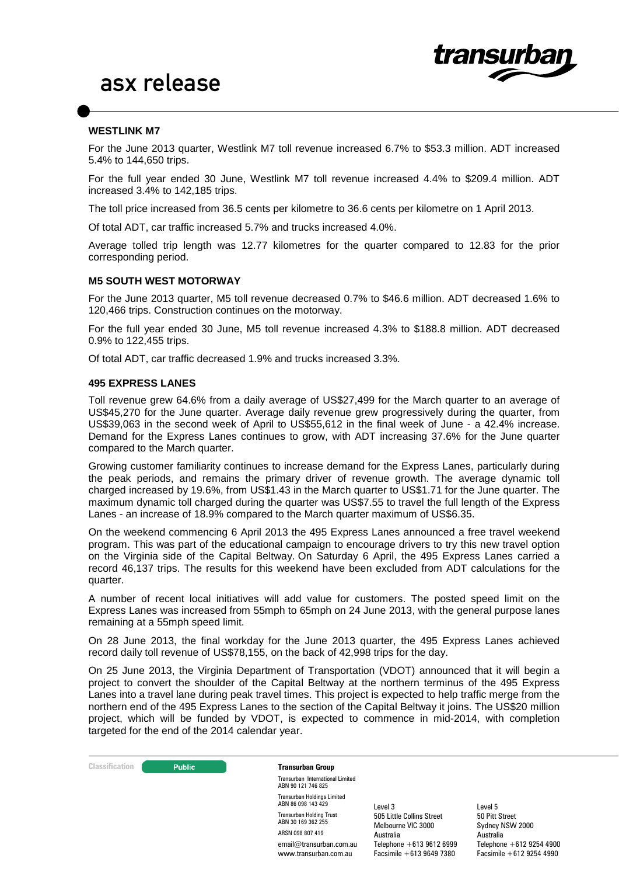

#### **WESTLINK M7**

For the June 2013 quarter, Westlink M7 toll revenue increased 6.7% to \$53.3 million. ADT increased 5.4% to 144,650 trips.

For the full year ended 30 June, Westlink M7 toll revenue increased 4.4% to \$209.4 million. ADT increased 3.4% to 142,185 trips.

The toll price increased from 36.5 cents per kilometre to 36.6 cents per kilometre on 1 April 2013.

Of total ADT, car traffic increased 5.7% and trucks increased 4.0%.

Average tolled trip length was 12.77 kilometres for the quarter compared to 12.83 for the prior corresponding period.

#### **M5 SOUTH WEST MOTORWAY**

For the June 2013 quarter, M5 toll revenue decreased 0.7% to \$46.6 million. ADT decreased 1.6% to 120,466 trips. Construction continues on the motorway.

For the full year ended 30 June, M5 toll revenue increased 4.3% to \$188.8 million. ADT decreased 0.9% to 122,455 trips.

Of total ADT, car traffic decreased 1.9% and trucks increased 3.3%.

#### **495 EXPRESS LANES**

Toll revenue grew 64.6% from a daily average of US\$27,499 for the March quarter to an average of US\$45,270 for the June quarter. Average daily revenue grew progressively during the quarter, from US\$39,063 in the second week of April to US\$55,612 in the final week of June - a 42.4% increase. Demand for the Express Lanes continues to grow, with ADT increasing 37.6% for the June quarter compared to the March quarter.

Growing customer familiarity continues to increase demand for the Express Lanes, particularly during the peak periods, and remains the primary driver of revenue growth. The average dynamic toll charged increased by 19.6%, from US\$1.43 in the March quarter to US\$1.71 for the June quarter. The maximum dynamic toll charged during the quarter was US\$7.55 to travel the full length of the Express Lanes - an increase of 18.9% compared to the March quarter maximum of US\$6.35.

On the weekend commencing 6 April 2013 the 495 Express Lanes announced a free travel weekend program. This was part of the educational campaign to encourage drivers to try this new travel option on the Virginia side of the Capital Beltway. On Saturday 6 April, the 495 Express Lanes carried a record 46,137 trips. The results for this weekend have been excluded from ADT calculations for the quarter.

A number of recent local initiatives will add value for customers. The posted speed limit on the Express Lanes was increased from 55mph to 65mph on 24 June 2013, with the general purpose lanes remaining at a 55mph speed limit.

On 28 June 2013, the final workday for the June 2013 quarter, the 495 Express Lanes achieved record daily toll revenue of US\$78,155, on the back of 42,998 trips for the day.

On 25 June 2013, the Virginia Department of Transportation (VDOT) announced that it will begin a project to convert the shoulder of the Capital Beltway at the northern terminus of the 495 Express Lanes into a travel lane during peak travel times. This project is expected to help traffic merge from the northern end of the 495 Express Lanes to the section of the Capital Beltway it joins. The US\$20 million project, which will be funded by VDOT, is expected to commence in mid-2014, with completion targeted for the end of the 2014 calendar year.



Transurban International Limited ABN 90 121 746 825 Transurban Holdings Limited ABN 86 098 143 429 Transurban Holding Trust ABN 30 169 362 255 ARSN 098 807 419 email@transurban.com.au www.transurban.com.au

Level 3 505 Little Collins Street Melbourne VIC 3000 Australia Telephone +613 9612 6999 Facsimile +613 9649 7380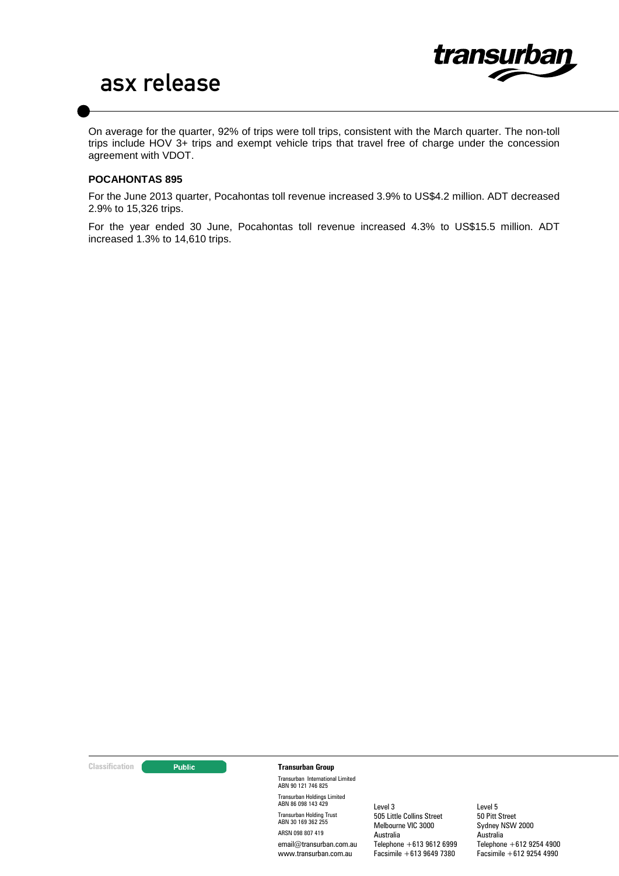

On average for the quarter, 92% of trips were toll trips, consistent with the March quarter. The non-toll trips include HOV 3+ trips and exempt vehicle trips that travel free of charge under the concession agreement with VDOT.

#### **POCAHONTAS 895**

For the June 2013 quarter, Pocahontas toll revenue increased 3.9% to US\$4.2 million. ADT decreased 2.9% to 15,326 trips.

For the year ended 30 June, Pocahontas toll revenue increased 4.3% to US\$15.5 million. ADT increased 1.3% to 14,610 trips.

#### **Classification Transurban Group**

Transurban International Limited ABN 90 121 746 825 Transurban Holdings Limited ABN 86 098 143 429 Transurban Holding Trust ABN 30 169 362 255 ARSN 098 807 419 email@transurban.com.au www.transurban.com.au

Level 3 505 Little Collins Street Melbourne VIC 3000 Australia Telephone +613 9612 6999 Facsimile +613 9649 7380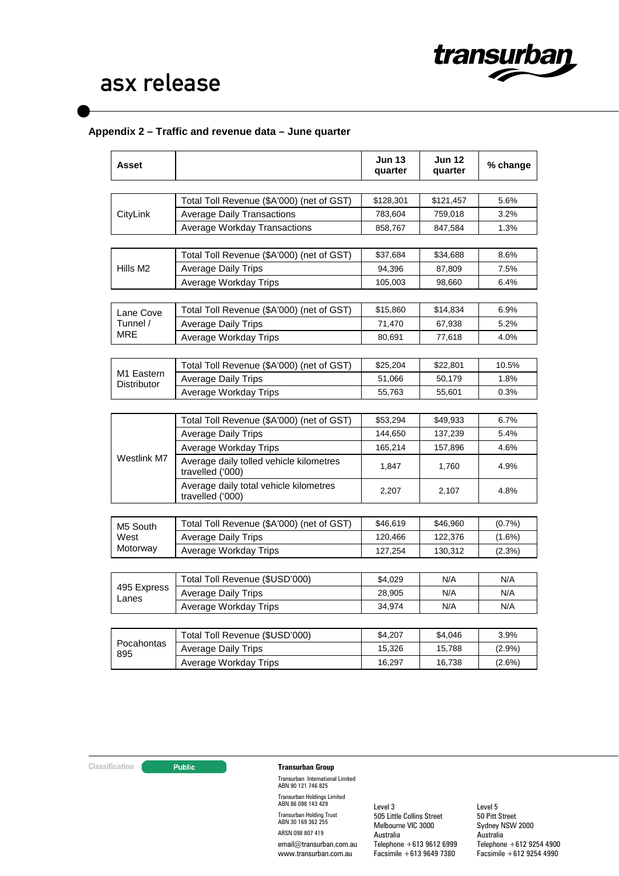

### **Appendix 2 – Traffic and revenue data – June quarter**

| Asset                 |                                                             | <b>Jun 13</b><br>quarter | <b>Jun 12</b><br>quarter | % change  |
|-----------------------|-------------------------------------------------------------|--------------------------|--------------------------|-----------|
|                       | Total Toll Revenue (\$A'000) (net of GST)                   | \$128,301                | \$121,457                | 5.6%      |
| CityLink              | <b>Average Daily Transactions</b>                           | 783,604                  | 759,018                  | 3.2%      |
|                       | <b>Average Workday Transactions</b>                         | 858,767                  | 847,584                  | 1.3%      |
|                       |                                                             |                          |                          |           |
|                       | Total Toll Revenue (\$A'000) (net of GST)                   | \$37,684                 | \$34,688                 | 8.6%      |
| Hills M <sub>2</sub>  | <b>Average Daily Trips</b>                                  | 94,396                   | 87,809                   | 7.5%      |
|                       | Average Workday Trips                                       | 105,003                  | 98,660                   | 6.4%      |
|                       | Total Toll Revenue (\$A'000) (net of GST)                   | \$15,860                 | \$14,834                 | 6.9%      |
| Lane Cove<br>Tunnel / | <b>Average Daily Trips</b>                                  | 71,470                   | 67,938                   | 5.2%      |
| MRE                   | Average Workday Trips                                       |                          |                          |           |
|                       |                                                             | 80,691                   | 77,618                   | 4.0%      |
|                       | Total Toll Revenue (\$A'000) (net of GST)                   | \$25,204                 | \$22,801                 | 10.5%     |
| M1 Eastern            | <b>Average Daily Trips</b>                                  | 51,066                   | 50,179                   | 1.8%      |
| Distributor           | Average Workday Trips                                       | 55,763                   | 55,601                   | 0.3%      |
|                       |                                                             |                          |                          |           |
|                       | Total Toll Revenue (\$A'000) (net of GST)                   | \$53,294                 | \$49,933                 | 6.7%      |
|                       | <b>Average Daily Trips</b>                                  | 144,650                  | 137,239                  | 5.4%      |
|                       | Average Workday Trips                                       | 165,214                  | 157,896                  | 4.6%      |
| Westlink M7           | Average daily tolled vehicle kilometres<br>travelled ('000) | 1,847                    | 1,760                    | 4.9%      |
|                       | Average daily total vehicle kilometres<br>travelled ('000)  | 2,207                    | 2,107                    | 4.8%      |
|                       |                                                             |                          |                          |           |
| M5 South              | Total Toll Revenue (\$A'000) (net of GST)                   | \$46,619                 | \$46,960                 | (0.7%     |
| West                  | <b>Average Daily Trips</b>                                  | 120,466                  | 122,376                  | $(1.6\%)$ |
| Motorway              | Average Workday Trips                                       | 127,254                  | 130,312                  | (2.3%)    |
|                       | Total Toll Revenue (\$USD'000)                              | \$4,029                  | N/A                      | N/A       |
| 495 Express           | <b>Average Daily Trips</b>                                  | 28,905                   | N/A                      | N/A       |
| Lanes                 | Average Workday Trips                                       | 34,974                   | N/A                      | N/A       |
|                       |                                                             |                          |                          |           |
|                       | Total Toll Revenue (\$USD'000)                              | \$4,207                  | \$4,046                  | 3.9%      |
| Pocahontas            | <b>Average Daily Trips</b>                                  | 15,326                   | 15,788                   | $(2.9\%)$ |
| 895                   | Average Workday Trips                                       | 16,297                   | 16,738                   | $(2.6\%)$ |

### **Classification Transurban Group**

Transurban International Limited ABN 90 121 746 825 Transurban Holdings Limited ABN 86 098 143 429 Transurban Holding Trust ABN 30 169 362 255 ARSN 098 807 419 email@transurban.com.au www.transurban.com.au

Level 3 505 Little Collins Street Melbourne VIC 3000 Australia Telephone +613 9612 6999 Facsimile +613 9649 7380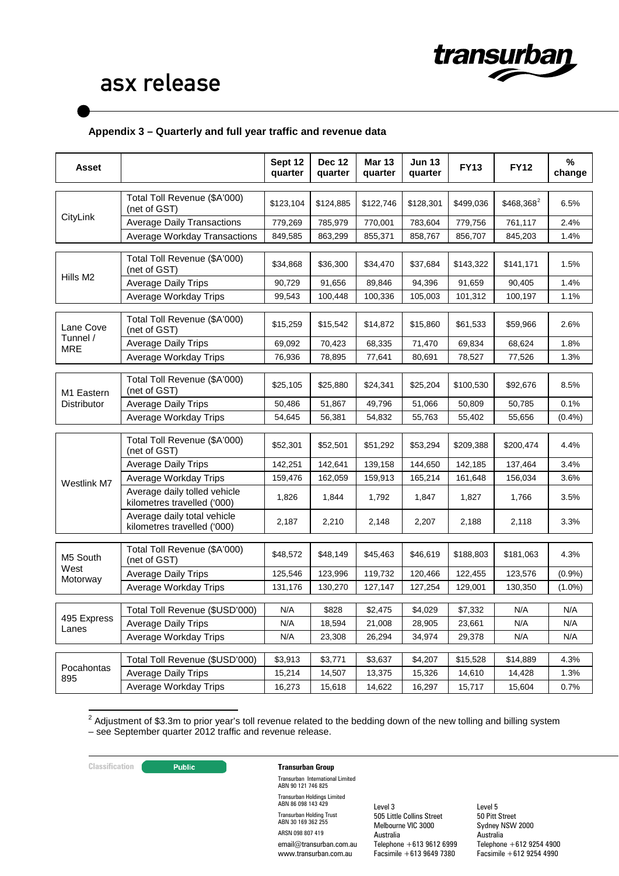

### **Appendix 3 – Quarterly and full year traffic and revenue data**

| Asset                            |                                                             | Sept 12<br>quarter | <b>Dec 12</b><br>quarter | <b>Mar 13</b><br>quarter | <b>Jun 13</b><br>quarter | <b>FY13</b>       | <b>FY12</b>  | %<br>change |
|----------------------------------|-------------------------------------------------------------|--------------------|--------------------------|--------------------------|--------------------------|-------------------|--------------|-------------|
| CityLink                         | Total Toll Revenue (\$A'000)<br>(net of GST)                | \$123,104          | \$124,885                | \$122,746                | \$128,301                | \$499,036         | $$468,368^2$ | 6.5%        |
|                                  | <b>Average Daily Transactions</b>                           | 779,269            | 785,979                  | 770,001                  | 783,604                  | 779,756           | 761,117      | 2.4%        |
|                                  | <b>Average Workday Transactions</b>                         | 849,585            | 863,299                  | 855,371                  | 858,767                  | 856,707           | 845,203      | 1.4%        |
|                                  | Total Toll Revenue (\$A'000)<br>(net of GST)                | \$34,868           | \$36,300                 | \$34,470                 | \$37,684                 | \$143,322         | \$141,171    | 1.5%        |
| Hills M2                         | <b>Average Daily Trips</b>                                  | 90,729             | 91,656                   | 89,846                   | 94,396                   | 91,659            | 90,405       | 1.4%        |
|                                  | Average Workday Trips                                       | 99,543             | 100,448                  | 100,336                  | 105,003                  | 101,312           | 100,197      | 1.1%        |
| Lane Cove                        | Total Toll Revenue (\$A'000)<br>(net of GST)                | \$15,259           | \$15,542                 | \$14,872                 | \$15,860                 | \$61,533          | \$59,966     | 2.6%        |
| Tunnel /<br><b>MRE</b>           | <b>Average Daily Trips</b>                                  | 69,092             | 70,423                   | 68,335                   | 71,470                   | 69,834            | 68,624       | 1.8%        |
|                                  | Average Workday Trips                                       | 76,936             | 78,895                   | 77,641                   | 80,691                   | 78,527            | 77,526       | 1.3%        |
| M1 Eastern<br><b>Distributor</b> | Total Toll Revenue (\$A'000)<br>(net of GST)                | \$25,105           | \$25,880                 | \$24,341                 | \$25,204                 | \$100,530         | \$92,676     | 8.5%        |
|                                  | <b>Average Daily Trips</b>                                  | 50,486             | 51,867                   | 49,796                   | 51,066                   | 50,809            | 50,785       | 0.1%        |
|                                  | Average Workday Trips                                       | 54,645             | 56,381                   | 54,832                   | 55,763                   | 55,402            | 55,656       | $(0.4\%)$   |
|                                  | Total Toll Revenue (\$A'000)<br>(net of GST)                | \$52,301           | \$52,501                 | \$51,292                 | \$53,294                 | \$209,388         | \$200,474    | 4.4%        |
|                                  | <b>Average Daily Trips</b>                                  | 142,251            | 142,641                  | 139,158                  | 144,650                  | 142,185           | 137,464      | 3.4%        |
| Westlink M7                      | Average Workday Trips                                       | 159,476            | 162,059                  | 159,913                  | 165,214                  | 161,648           | 156,034      | 3.6%        |
|                                  | Average daily tolled vehicle<br>kilometres travelled ('000) | 1,826              | 1,844                    | 1,792                    | 1,847                    | 1,827             | 1,766        | 3.5%        |
|                                  | Average daily total vehicle<br>kilometres travelled ('000)  | 2,187              | 2,210                    | 2,148                    | 2,207                    | 2,188             | 2,118        | 3.3%        |
| M5 South                         | Total Toll Revenue (\$A'000)<br>(net of GST)                | \$48,572           | \$48,149                 | \$45,463                 | \$46,619                 | \$188,803         | \$181,063    | 4.3%        |
| West<br>Motorway                 | <b>Average Daily Trips</b>                                  | 125,546            | 123,996                  | 119,732                  | 120,466                  | 122,455           | 123,576      | (0.9%       |
|                                  | Average Workday Trips                                       | 131,176            | 130,270                  | 127,147                  | 127,254                  | 129,001           | 130,350      | $(1.0\%)$   |
|                                  | Total Toll Revenue (\$USD'000)                              | N/A                | \$828                    | \$2,475                  | \$4,029                  |                   | N/A          | N/A         |
| 495 Express                      | <b>Average Daily Trips</b>                                  | N/A                | 18,594                   | 21,008                   | 28,905                   | \$7,332<br>23,661 | N/A          | N/A         |
| Lanes                            | Average Workday Trips                                       | N/A                | 23,308                   | 26,294                   | 34,974                   | 29,378            | N/A          | N/A         |
|                                  |                                                             |                    |                          |                          |                          |                   |              |             |
|                                  | Total Toll Revenue (\$USD'000)                              | \$3,913            | \$3,771                  | \$3,637                  | \$4,207                  | \$15,528          | \$14,889     | 4.3%        |
| Pocahontas<br>895                | Average Daily Trips                                         | 15,214             | 14,507                   | 13,375                   | 15,326                   | 14,610            | 14,428       | 1.3%        |
|                                  | Average Workday Trips                                       | 16,273             | 15,618                   | 14,622                   | 16,297                   | 15,717            | 15,604       | 0.7%        |

 <sup>2</sup> Adjustment of \$3.3m to prior year's toll revenue related to the bedding down of the new tolling and billing system – see September quarter 2012 traffic and revenue release.

#### **Classification Transurban Group**

Transurban International Limited ABN 90 121 746 825 Transurban Holdings Limited ABN 86 098 143 429 Transurban Holding Trust ABN 30 169 362 255 ARSN 098 807 419 email@transurban.com.au www.transurban.com.au

Level 3 505 Little Collins Street Melbourne VIC 3000 Australia Telephone +613 9612 6999 Facsimile +613 9649 7380